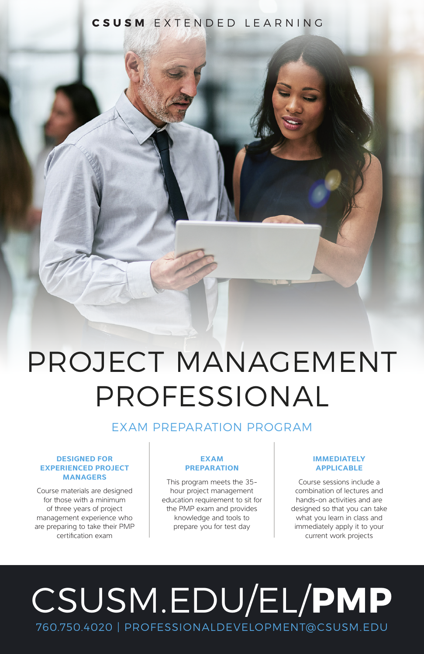## **CSUSM** EXTENDED LEARNING

# PROJECT MANAGEMENT PROFESSIONAL

## EXAM PREPARATION PROGRAM

#### **DESIGNED FOR EXPERIENCED PROJECT MANAGERS**

Course materials are designed for those with a minimum of three years of project management experience who are preparing to take their PMP certification exam

### **EXAM PREPARATION**

This program meets the 35 hour project management education requirement to sit for the PMP exam and provides knowledge and tools to prepare you for test day

### **IMMEDIATELY APPLICABLE**

Course sessions include a combination of lectures and hands-on activities and are designed so that you can take what you learn in class and immediately apply it to your current work projects

# CSUSM.EDU/EL/**PMP** 760.750.4020 | PROFESSIONALDEVELOPMENT@CSUSM.EDU